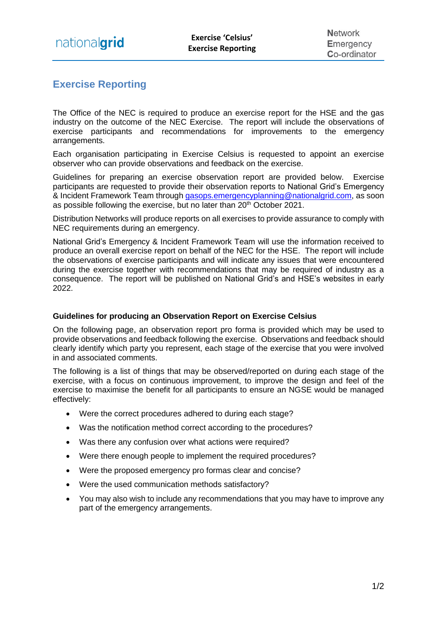## **Exercise Reporting**

The Office of the NEC is required to produce an exercise report for the HSE and the gas industry on the outcome of the NEC Exercise. The report will include the observations of exercise participants and recommendations for improvements to the emergency arrangements.

Each organisation participating in Exercise Celsius is requested to appoint an exercise observer who can provide observations and feedback on the exercise.

Guidelines for preparing an exercise observation report are provided below. Exercise participants are requested to provide their observation reports to National Grid's Emergency & Incident Framework Team through [gasops.emergencyplanning@nationalgrid.com,](mailto:gasops.emergencyplanning@nationalgrid.com) as soon as possible following the exercise, but no later than 20<sup>th</sup> October 2021.

Distribution Networks will produce reports on all exercises to provide assurance to comply with NEC requirements during an emergency.

National Grid's Emergency & Incident Framework Team will use the information received to produce an overall exercise report on behalf of the NEC for the HSE. The report will include the observations of exercise participants and will indicate any issues that were encountered during the exercise together with recommendations that may be required of industry as a consequence. The report will be published on National Grid's and HSE's websites in early 2022.

## **Guidelines for producing an Observation Report on Exercise Celsius**

On the following page, an observation report pro forma is provided which may be used to provide observations and feedback following the exercise. Observations and feedback should clearly identify which party you represent, each stage of the exercise that you were involved in and associated comments.

The following is a list of things that may be observed/reported on during each stage of the exercise, with a focus on continuous improvement, to improve the design and feel of the exercise to maximise the benefit for all participants to ensure an NGSE would be managed effectively:

- Were the correct procedures adhered to during each stage?
- Was the notification method correct according to the procedures?
- Was there any confusion over what actions were required?
- Were there enough people to implement the required procedures?
- Were the proposed emergency pro formas clear and concise?
- Were the used communication methods satisfactory?
- You may also wish to include any recommendations that you may have to improve any part of the emergency arrangements.